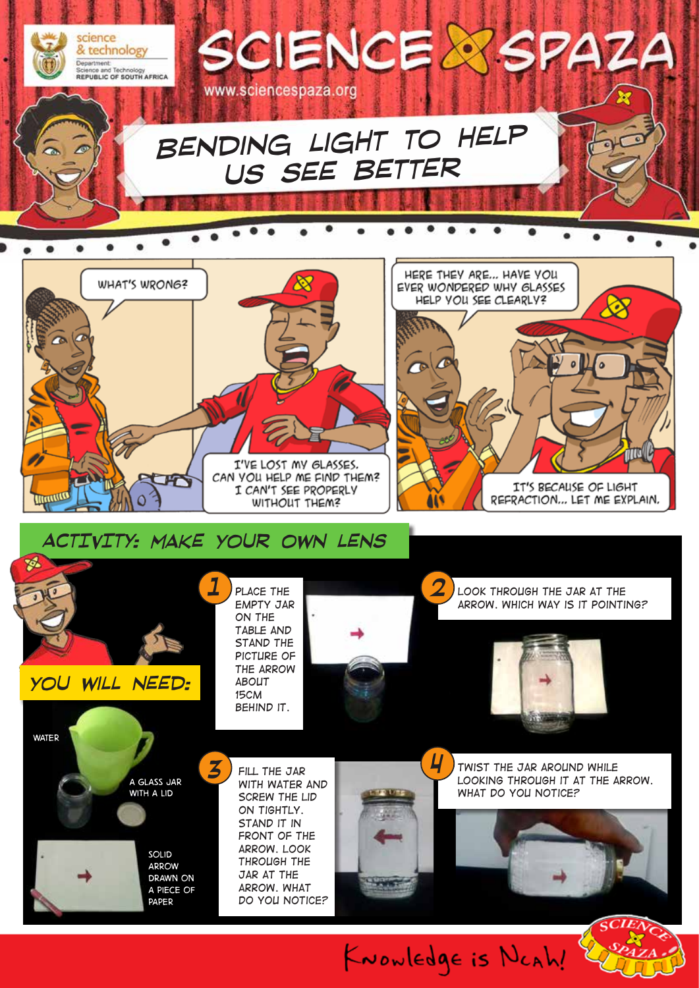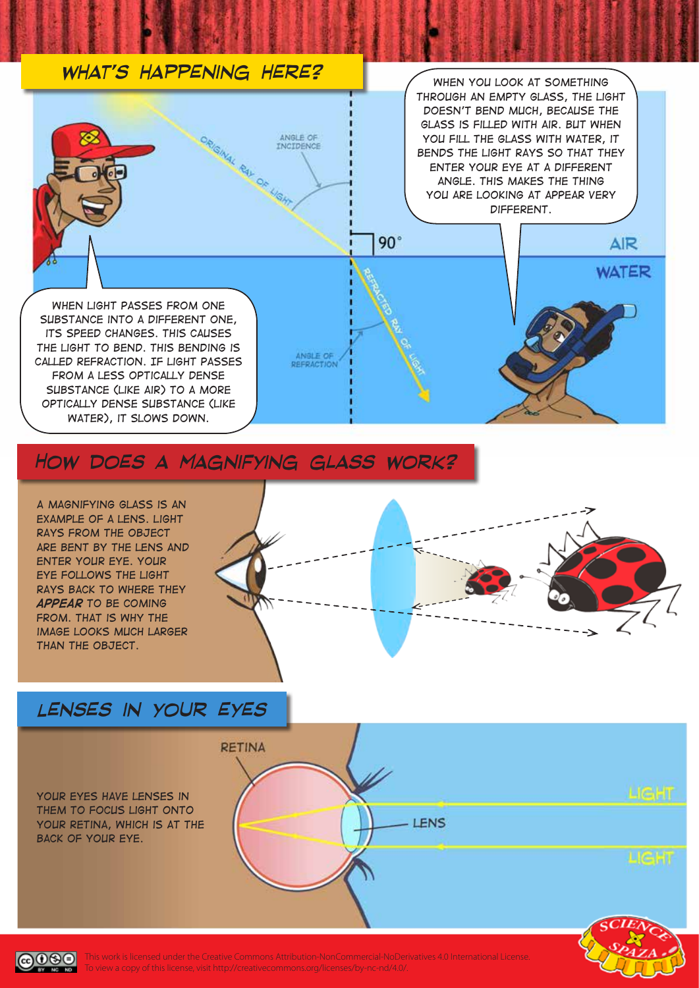#### *what's happening here? When you look at something through an empty glass, the light doesn't bend much, because the glass is filled with air. But when*  ORIGINAL RAY DE HIGHT ANGLE OF *you fill the glass with water, it bends the light rays so that they enter your eye at a different angle. This makes the thing you are looking at appear very different.* $90^\circ$ AIR **WATER** *When light passes from one substance into a different one, its speed changes. This causes the light to bend. This bending is*  ANGLE OF *called refraction. If light passes*  **REFRACTION** *from a less optically dense substance (like air) to a more optically dense substance (like water), it slows down.*

### *How does a magnifying glass work?*

*A magnifying glass is an example of a lens. Light rays from the object are bent by the lens and enter your eye. Your eye follows the light rays back to where they appear to be coming FROM. THAT IS WHY THE image looks much larger than the object.*



## *Lenses in your eyes*





This work is licensed under the Creative Commons Attribution-NonCommercial-NoDerivatives 4.0 International License. To view a copy of this license, visit http://creativecommons.org/licenses/by-nc-nd/4.0/.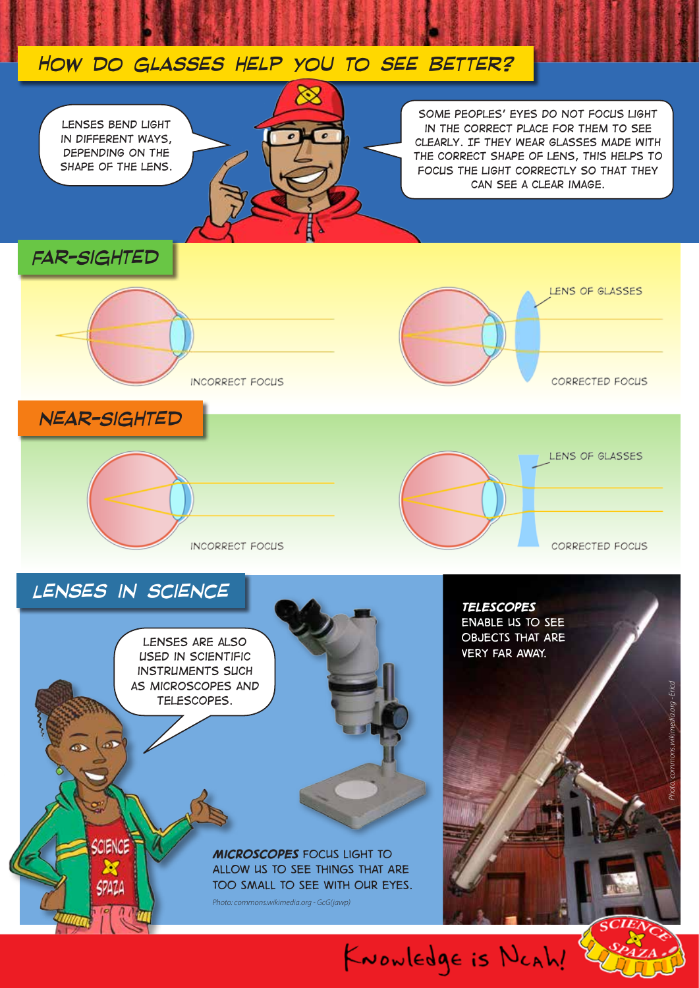### *How do glasses help you to see better?*



*Some peoples' eyes do not focus light in the correct place for them to see clearly. If they wear glasses made with the correct shape of lens, this helps to focus the light correctly so that they can see a clear image.*

LENS OF GLASSES

CORRECTED FOCUS

CORRECTED FOCUS

*Far-Sighted*



*near-Sighted*

INCORRECT FOCUS



*Lenses in science*

CIENCE

50421

*Lenses are also used in scientific instruments such as microscopes and telescopes.* 

> *Microscopes focus light to allow us to see things that are too small to see with our eyes. Photo: commons.wikimedia.org - GcG(jawp)*

*Telescopes enable us to see objects that are very far away.*

KNOWLEDge is NCAh!

*Photo: commons.wikimedia.org - Ericd*